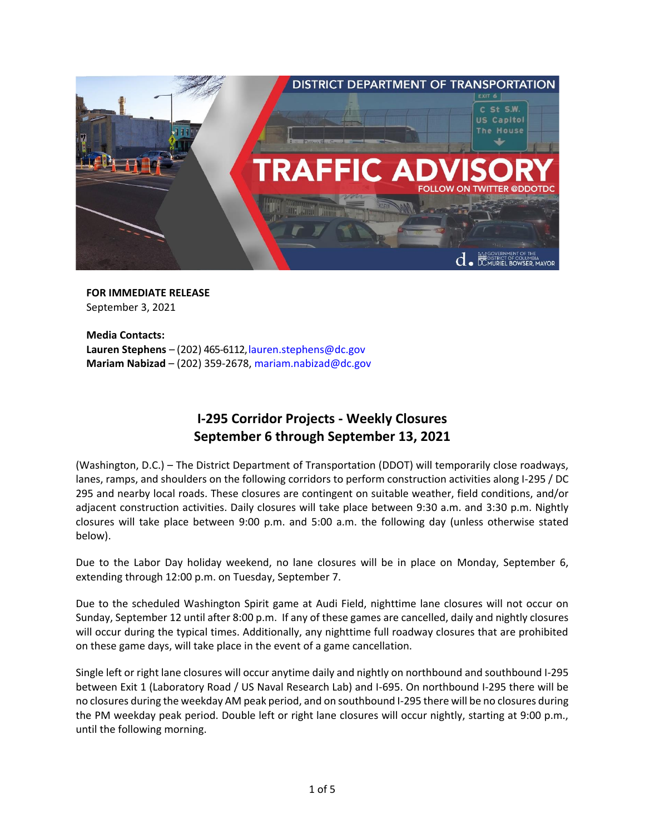

**FOR IMMEDIATE RELEASE** September 3, 2021

**Media Contacts:** Lauren Stephens – (202) 465-6112, lauren.stephens@dc.gov **Mariam Nabizad** – (202) 359-2678[, mariam.nabizad@dc.gov](mailto:mariam.nabizad@dc.gov)

# **I-295 Corridor Projects - Weekly Closures September 6 through September 13, 2021**

(Washington, D.C.) – The District Department of Transportation (DDOT) will temporarily close roadways, lanes, ramps, and shoulders on the following corridors to perform construction activities along I-295 / DC 295 and nearby local roads. These closures are contingent on suitable weather, field conditions, and/or adjacent construction activities. Daily closures will take place between 9:30 a.m. and 3:30 p.m. Nightly closures will take place between 9:00 p.m. and 5:00 a.m. the following day (unless otherwise stated below).

Due to the Labor Day holiday weekend, no lane closures will be in place on Monday, September 6, extending through 12:00 p.m. on Tuesday, September 7.

Due to the scheduled Washington Spirit game at Audi Field, nighttime lane closures will not occur on Sunday, September 12 until after 8:00 p.m. If any of these games are cancelled, daily and nightly closures will occur during the typical times. Additionally, any nighttime full roadway closures that are prohibited on these game days, will take place in the event of a game cancellation.

Single left or right lane closures will occur anytime daily and nightly on northbound and southbound I-295 between Exit 1 (Laboratory Road / US Naval Research Lab) and I-695. On northbound I-295 there will be no closures during the weekday AM peak period, and on southbound I-295 there will be no closures during the PM weekday peak period. Double left or right lane closures will occur nightly, starting at 9:00 p.m., until the following morning.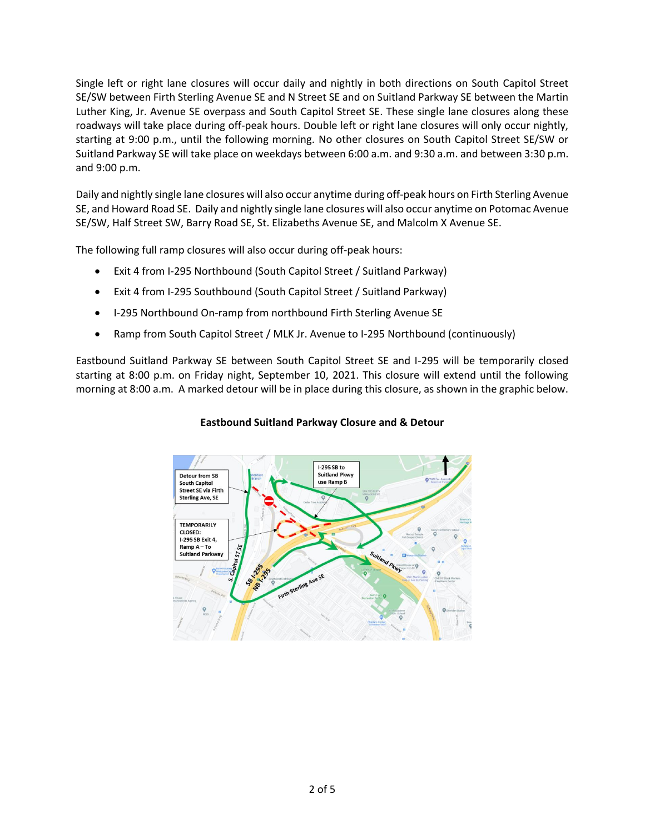Single left or right lane closures will occur daily and nightly in both directions on South Capitol Street SE/SW between Firth Sterling Avenue SE and N Street SE and on Suitland Parkway SE between the Martin Luther King, Jr. Avenue SE overpass and South Capitol Street SE. These single lane closures along these roadways will take place during off-peak hours. Double left or right lane closures will only occur nightly, starting at 9:00 p.m., until the following morning. No other closures on South Capitol Street SE/SW or Suitland Parkway SE will take place on weekdays between 6:00 a.m. and 9:30 a.m. and between 3:30 p.m. and 9:00 p.m.

Daily and nightly single lane closures will also occur anytime during off-peak hours on Firth Sterling Avenue SE, and Howard Road SE. Daily and nightly single lane closures will also occur anytime on Potomac Avenue SE/SW, Half Street SW, Barry Road SE, St. Elizabeths Avenue SE, and Malcolm X Avenue SE.

The following full ramp closures will also occur during off-peak hours:

- Exit 4 from I-295 Northbound (South Capitol Street / Suitland Parkway)
- Exit 4 from I-295 Southbound (South Capitol Street / Suitland Parkway)
- I-295 Northbound On-ramp from northbound Firth Sterling Avenue SE
- Ramp from South Capitol Street / MLK Jr. Avenue to I-295 Northbound (continuously)

Eastbound Suitland Parkway SE between South Capitol Street SE and I-295 will be temporarily closed starting at 8:00 p.m. on Friday night, September 10, 2021. This closure will extend until the following morning at 8:00 a.m. A marked detour will be in place during this closure, as shown in the graphic below.

#### **Eastbound Suitland Parkway Closure and & Detour**

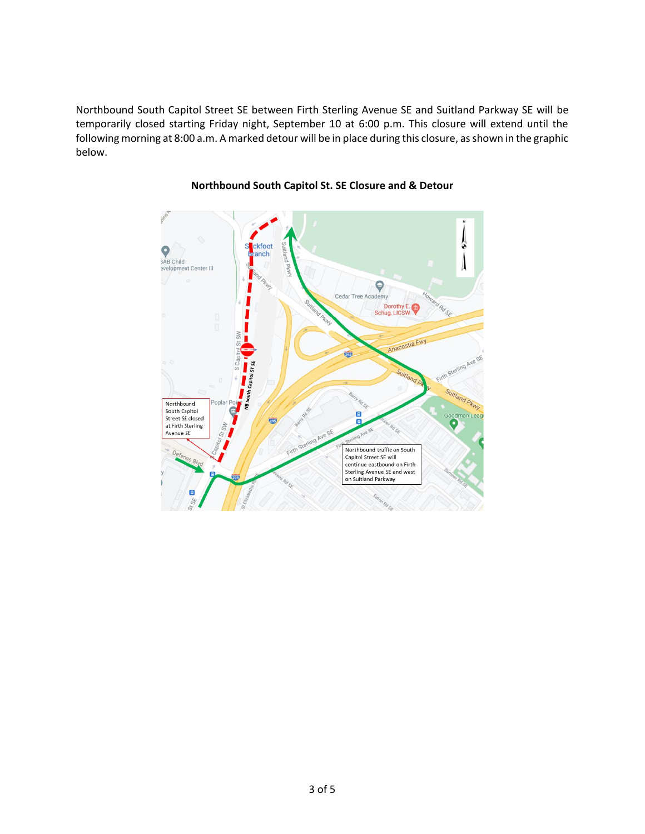Northbound South Capitol Street SE between Firth Sterling Avenue SE and Suitland Parkway SE will be temporarily closed starting Friday night, September 10 at 6:00 p.m. This closure will extend until the following morning at 8:00 a.m. A marked detour will be in place during this closure, as shown in the graphic below.



# **Northbound South Capitol St. SE Closure and & Detour**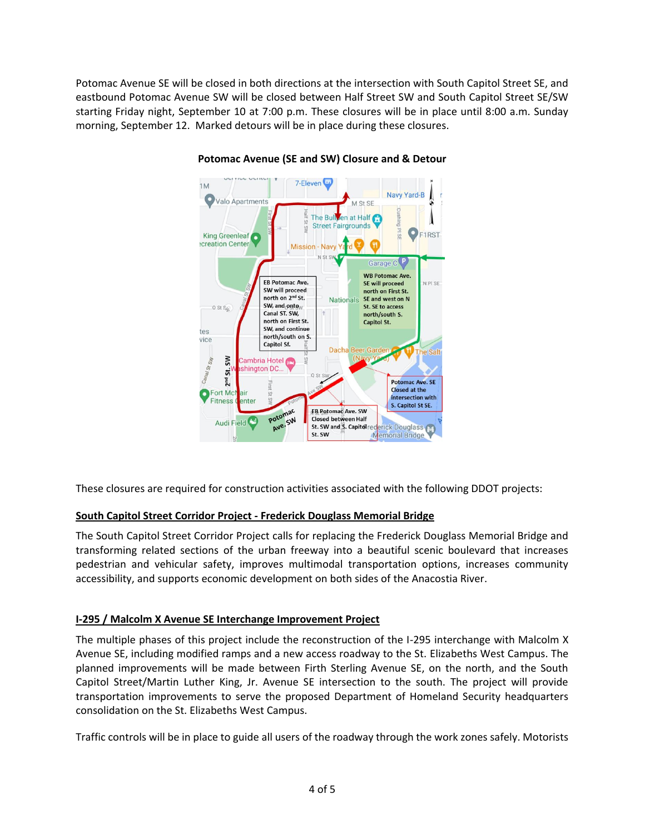Potomac Avenue SE will be closed in both directions at the intersection with South Capitol Street SE, and eastbound Potomac Avenue SW will be closed between Half Street SW and South Capitol Street SE/SW starting Friday night, September 10 at 7:00 p.m. These closures will be in place until 8:00 a.m. Sunday morning, September 12. Marked detours will be in place during these closures.



#### **Potomac Avenue (SE and SW) Closure and & Detour**

These closures are required for construction activities associated with the following DDOT projects:

## **South Capitol Street Corridor Project - Frederick Douglass Memorial Bridge**

The South Capitol Street Corridor Project calls for replacing the Frederick Douglass Memorial Bridge and transforming related sections of the urban freeway into a beautiful scenic boulevard that increases pedestrian and vehicular safety, improves multimodal transportation options, increases community accessibility, and supports economic development on both sides of the Anacostia River.

## **I-295 / Malcolm X Avenue SE Interchange Improvement Project**

The multiple phases of this project include the reconstruction of the I-295 interchange with Malcolm X Avenue SE, including modified ramps and a new access roadway to the St. Elizabeths West Campus. The planned improvements will be made between Firth Sterling Avenue SE, on the north, and the South Capitol Street/Martin Luther King, Jr. Avenue SE intersection to the south. The project will provide transportation improvements to serve the proposed Department of Homeland Security headquarters consolidation on the St. Elizabeths West Campus.

Traffic controls will be in place to guide all users of the roadway through the work zones safely. Motorists